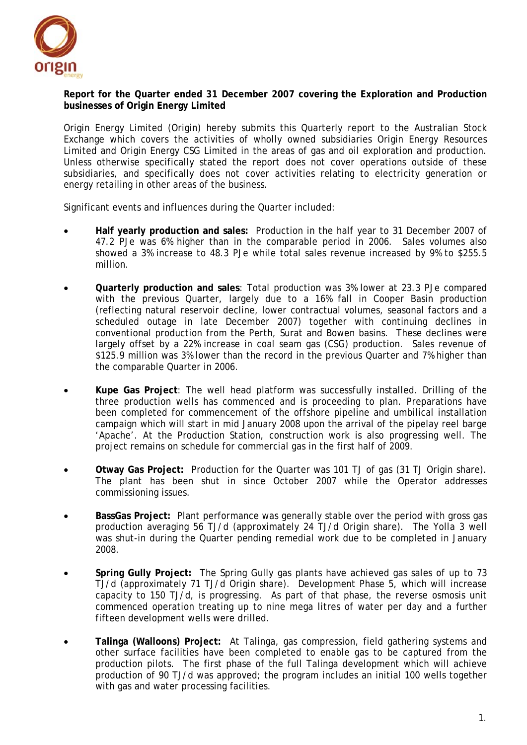

## **Report for the Quarter ended 31 December 2007 covering the Exploration and Production businesses of Origin Energy Limited**

Origin Energy Limited (Origin) hereby submits this Quarterly report to the Australian Stock Exchange which covers the activities of wholly owned subsidiaries Origin Energy Resources Limited and Origin Energy CSG Limited in the areas of gas and oil exploration and production. Unless otherwise specifically stated the report does not cover operations outside of these subsidiaries, and specifically does not cover activities relating to electricity generation or energy retailing in other areas of the business.

Significant events and influences during the Quarter included:

- **Half yearly production and sales:** Production in the half year to 31 December 2007 of 47.2 PJe was 6% higher than in the comparable period in 2006. Sales volumes also showed a 3% increase to 48.3 PJe while total sales revenue increased by 9% to \$255.5 million.
- **Quarterly production and sales**: Total production was 3% lower at 23.3 PJe compared with the previous Quarter, largely due to a 16% fall in Cooper Basin production (reflecting natural reservoir decline, lower contractual volumes, seasonal factors and a scheduled outage in late December 2007) together with continuing declines in conventional production from the Perth, Surat and Bowen basins. These declines were largely offset by a 22% increase in coal seam gas (CSG) production. Sales revenue of \$125.9 million was 3% lower than the record in the previous Quarter and 7% higher than the comparable Quarter in 2006.
- **Kupe Gas Project**: The well head platform was successfully installed. Drilling of the three production wells has commenced and is proceeding to plan. Preparations have been completed for commencement of the offshore pipeline and umbilical installation campaign which will start in mid January 2008 upon the arrival of the pipelay reel barge 'Apache'. At the Production Station, construction work is also progressing well. The project remains on schedule for commercial gas in the first half of 2009.
- **Otway Gas Project:** Production for the Quarter was 101 TJ of gas (31 TJ Origin share). The plant has been shut in since October 2007 while the Operator addresses commissioning issues.
- **BassGas Project:** Plant performance was generally stable over the period with gross gas production averaging 56 TJ/d (approximately 24 TJ/d Origin share). The Yolla 3 well was shut-in during the Quarter pending remedial work due to be completed in January 2008.
- **Spring Gully Project:** The Spring Gully gas plants have achieved gas sales of up to 73 TJ/d (approximately 71 TJ/d Origin share). Development Phase 5, which will increase capacity to 150 TJ/d, is progressing. As part of that phase, the reverse osmosis unit commenced operation treating up to nine mega litres of water per day and a further fifteen development wells were drilled.
- **Talinga (Walloons) Project:** At Talinga, gas compression, field gathering systems and other surface facilities have been completed to enable gas to be captured from the production pilots. The first phase of the full Talinga development which will achieve production of 90 TJ/d was approved; the program includes an initial 100 wells together with gas and water processing facilities.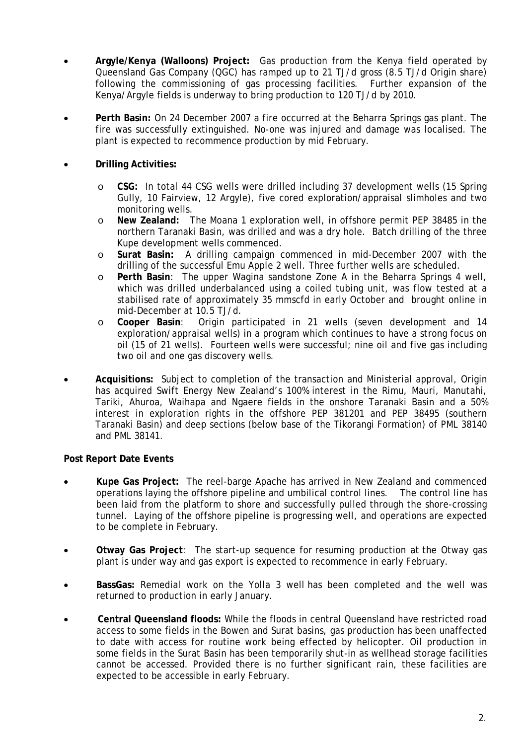- **Argyle/Kenya (Walloons) Project:** Gas production from the Kenya field operated by Queensland Gas Company (QGC) has ramped up to 21 TJ/d gross (8.5 TJ/d Origin share) following the commissioning of gas processing facilities. Further expansion of the Kenya/Argyle fields is underway to bring production to 120 TJ/d by 2010.
- **Perth Basin:** On 24 December 2007 a fire occurred at the Beharra Springs gas plant. The fire was successfully extinguished. No-one was injured and damage was localised. The plant is expected to recommence production by mid February.
- **Drilling Activities:** 
	- o **CSG:** In total 44 CSG wells were drilled including 37 development wells (15 Spring Gully, 10 Fairview, 12 Argyle), five cored exploration/appraisal slimholes and two monitoring wells.
	- o **New Zealand:** The Moana 1 exploration well, in offshore permit PEP 38485 in the northern Taranaki Basin, was drilled and was a dry hole. Batch drilling of the three Kupe development wells commenced.
	- o **Surat Basin:** A drilling campaign commenced in mid-December 2007 with the drilling of the successful Emu Apple 2 well. Three further wells are scheduled.
	- o **Perth Basin**: The upper Wagina sandstone Zone A in the Beharra Springs 4 well, which was drilled underbalanced using a coiled tubing unit, was flow tested at a stabilised rate of approximately 35 mmscfd in early October and brought online in mid-December at 10.5 TJ/d.
	- o **Cooper Basin**: Origin participated in 21 wells (seven development and 14 exploration/appraisal wells) in a program which continues to have a strong focus on oil (15 of 21 wells). Fourteen wells were successful; nine oil and five gas including two oil and one gas discovery wells.
- **Acquisitions:** Subject to completion of the transaction and Ministerial approval, Origin has acquired Swift Energy New Zealand's 100% interest in the Rimu, Mauri, Manutahi, Tariki, Ahuroa, Waihapa and Ngaere fields in the onshore Taranaki Basin and a 50% interest in exploration rights in the offshore PEP 381201 and PEP 38495 (southern Taranaki Basin) and deep sections (below base of the Tikorangi Formation) of PML 38140 and PML 38141.

## **Post Report Date Events**

- **Kupe Gas Project:** The reel-barge Apache has arrived in New Zealand and commenced operations laying the offshore pipeline and umbilical control lines. The control line has been laid from the platform to shore and successfully pulled through the shore-crossing tunnel. Laying of the offshore pipeline is progressing well, and operations are expected to be complete in February.
- **Otway Gas Project**: The start-up sequence for resuming production at the Otway gas plant is under way and gas export is expected to recommence in early February.
- **BassGas:** Remedial work on the Yolla 3 well has been completed and the well was returned to production in early January.
- **Central Queensland floods:** While the floods in central Queensland have restricted road access to some fields in the Bowen and Surat basins, gas production has been unaffected to date with access for routine work being effected by helicopter. Oil production in some fields in the Surat Basin has been temporarily shut-in as wellhead storage facilities cannot be accessed. Provided there is no further significant rain, these facilities are expected to be accessible in early February.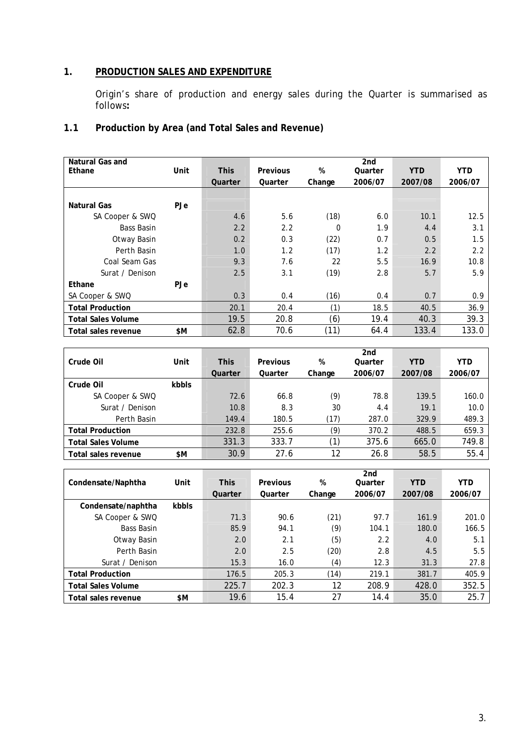## **1. PRODUCTION SALES AND EXPENDITURE**

Origin's share of production and energy sales during the Quarter is summarised as follows**:** 

# **1.1 Production by Area (and Total Sales and Revenue)**

| Natural Gas and         |      |         |                 |          | 2 <sub>nd</sub> |            |            |
|-------------------------|------|---------|-----------------|----------|-----------------|------------|------------|
| Ethane                  | Unit | This    | <b>Previous</b> | %        | Quarter         | <b>YTD</b> | <b>YTD</b> |
|                         |      | Quarter | Quarter         | Change   | 2006/07         | 2007/08    | 2006/07    |
|                         |      |         |                 |          |                 |            |            |
| Natural Gas             | PJe  |         |                 |          |                 |            |            |
| SA Cooper & SWQ         |      | 4.6     | 5.6             | (18)     | 6.0             | 10.1       | 12.5       |
| <b>Bass Basin</b>       |      | 2.2     | 2.2             | $\Omega$ | 1.9             | 4.4        | 3.1        |
| Otway Basin             |      | 0.2     | 0.3             | (22)     | 0.7             | 0.5        | 1.5        |
| Perth Basin             |      | 1.0     | 1.2             | (17)     | 1.2             | 2.2        | 2.2        |
| Coal Seam Gas           |      | 9.3     | 7.6             | 22       | 5.5             | 16.9       | 10.8       |
| Surat / Denison         |      | 2.5     | 3.1             | (19)     | 2.8             | 5.7        | 5.9        |
| Ethane                  | PJe  |         |                 |          |                 |            |            |
| SA Cooper & SWQ         |      | 0.3     | 0.4             | (16)     | 0.4             | 0.7        | 0.9        |
| <b>Total Production</b> |      | 20.1    | 20.4            | (1)      | 18.5            | 40.5       | 36.9       |
| Total Sales Volume      |      | 19.5    | 20.8            | (6)      | 19.4            | 40.3       | 39.3       |
| Total sales revenue     | \$M  | 62.8    | 70.6            | (11)     | 64.4            | 133.4      | 133.0      |

|                           |       |             |          |                  | 2nd     |            |            |
|---------------------------|-------|-------------|----------|------------------|---------|------------|------------|
| Crude Oil                 | Unit  | <b>This</b> | Previous | %                | Quarter | <b>YTD</b> | <b>YTD</b> |
|                           |       | Quarter     | Quarter  | Change           | 2006/07 | 2007/08    | 2006/07    |
| Crude Oil                 | kbbls |             |          |                  |         |            |            |
| SA Cooper & SWQ           |       | 72.6        | 66.8     | (9)              | 78.8    | 139.5      | 160.0      |
| Surat / Denison           |       | 10.8        | 8.3      | 30               | 4.4     | 19.1       | 10.0       |
| Perth Basin               |       | 149.4       | 180.5    | (17)             | 287.0   | 329.9      | 489.3      |
| <b>Total Production</b>   |       | 232.8       | 255.6    | (9)              | 370.2   | 488.5      | 659.3      |
| <b>Total Sales Volume</b> |       | 331.3       | 333.7    | $\left(1\right)$ | 375.6   | 665.0      | 749.8      |
| Total sales revenue       | \$M   | 30.9        | 27.6     | 12               | 26.8    | 58.5       | 55.4       |

|                            |       |             |          |        | 2 <sub>nd</sub> |            |            |
|----------------------------|-------|-------------|----------|--------|-----------------|------------|------------|
| Condensate/Naphtha         | Unit  | <b>This</b> | Previous | %      | Quarter         | <b>YTD</b> | <b>YTD</b> |
|                            |       | Quarter     | Quarter  | Change | 2006/07         | 2007/08    | 2006/07    |
| Condensate/naphtha         | kbbls |             |          |        |                 |            |            |
| SA Cooper & SWQ            |       | 71.3        | 90.6     | (21)   | 97.7            | 161.9      | 201.0      |
| <b>Bass Basin</b>          |       | 85.9        | 94.1     | (9)    | 104.1           | 180.0      | 166.5      |
| Otway Basin                |       | 2.0         | 2.1      | (5)    | 2.2             | 4.0        | 5.1        |
| Perth Basin                |       | 2.0         | 2.5      | (20)   | 2.8             | 4.5        | 5.5        |
| Surat / Denison            |       | 15.3        | 16.0     | (4)    | 12.3            | 31.3       | 27.8       |
| <b>Total Production</b>    |       | 176.5       | 205.3    | (14)   | 219.1           | 381.7      | 405.9      |
| <b>Total Sales Volume</b>  |       | 225.7       | 202.3    | 12     | 208.9           | 428.0      | 352.5      |
| <b>Total sales revenue</b> | \$M   | 19.6        | 15.4     | 27     | 14.4            | 35.0       | 25.7       |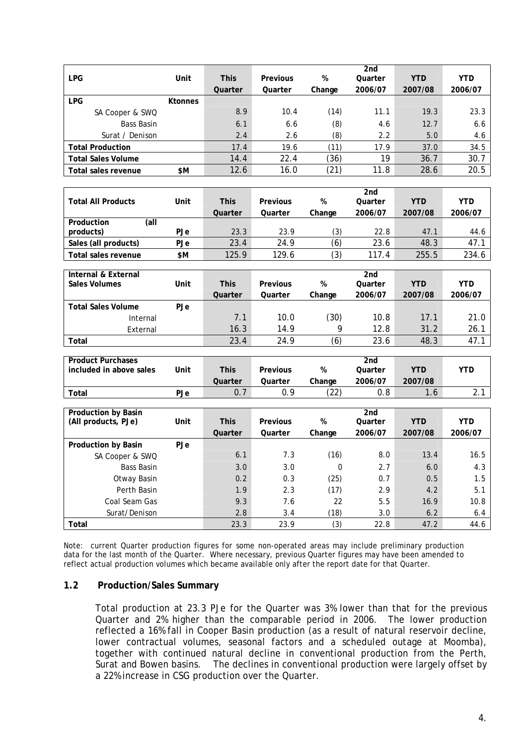|                           |                |             |                 |        | 2 <sub>nd</sub> |            |            |
|---------------------------|----------------|-------------|-----------------|--------|-----------------|------------|------------|
| <b>LPG</b>                | Unit           | <b>This</b> | <b>Previous</b> | %      | Quarter         | <b>YTD</b> | <b>YTD</b> |
|                           |                | Quarter     | Quarter         | Change | 2006/07         | 2007/08    | 2006/07    |
| <b>LPG</b>                | <b>Ktonnes</b> |             |                 |        |                 |            |            |
| SA Cooper & SWQ           |                | 8.9         | 10.4            | (14)   | 11.1            | 19.3       | 23.3       |
| Bass Basin                |                | 6.1         | 6.6             | (8)    | 4.6             | 12.7       | 6.6        |
| Surat / Denison           |                | 2.4         | 2.6             | (8)    | 2.2             | 5.0        | 4.6        |
| <b>Total Production</b>   |                | 17.4        | 19.6            | (11)   | 17.9            | 37.0       | 34.5       |
| <b>Total Sales Volume</b> |                | 14.4        | 22.4            | (36)   | 19              | 36.7       | 30.7       |
| Total sales revenue       | \$Μ            | 12.6        | 16.0            | (21)   | 11.8            | 28.6       | 20.5       |

|                           |            |             |          |        | 2nd     |            |            |
|---------------------------|------------|-------------|----------|--------|---------|------------|------------|
| <b>Total All Products</b> | Unit       | <b>This</b> | Previous | %      | Quarter | <b>YTD</b> | <b>YTD</b> |
|                           |            | Quarter     | Quarter  | Change | 2006/07 | 2007/08    | 2006/07    |
| (all<br>Production        |            |             |          |        |         |            |            |
| products)                 | <b>PJe</b> | 23.3        | 23.9     | (3)    | 22.8    | 47.1       | 44.6       |
| Sales (all products)      | PJe        | 23.4        | 24.9     | (6)    | 23.6    | 48.3       | 47.1       |
| Total sales revenue       | \$M        | 125.9       | 129.6    | (3)    | 117.4   | 255.5      | 234.6      |
|                           |            |             |          |        |         |            |            |
| Internal & External       |            |             |          |        | 2nd     |            |            |
| Sales Volumes             | Unit       | <b>This</b> | Previous | %      | Quarter | <b>YTD</b> | YTD.       |
|                           |            | Quarter     | Quarter  | Change | 2006/07 | 2007/08    | 2006/07    |
| <b>Total Sales Volume</b> | <b>PJe</b> |             |          |        |         |            |            |
| Internal                  |            | 7.1         | 10.0     | (30)   | 10.8    | 17.1       | 21.0       |
| External                  |            | 16.3        | 14.9     | 9      | 12.8    | 31.2       | 26.1       |
| Total                     |            | 23.4        | 24.9     | (6)    | 23.6    | 48.3       | 47.1       |
|                           |            |             |          |        |         |            |            |

| <b>Product Purchases</b> |      |             |          |            | 2nd     |         |          |
|--------------------------|------|-------------|----------|------------|---------|---------|----------|
| included in above sales  | Unit | <b>This</b> | Previous | %          | Quarter | YTD     | YTD      |
|                          |      | Quarter     | Quarter  | Change     | 2006/07 | 2007/08 |          |
| $\tau$ otal              | PJe  | 0.7         |          | (22)<br>22 | 0.8     |         | <u>.</u> |

| <b>Production by Basin</b> |            |             |          |             | 2 <sub>nd</sub> |            |            |
|----------------------------|------------|-------------|----------|-------------|-----------------|------------|------------|
| (All products, PJe)        | Unit       | <b>This</b> | Previous | %           | Quarter         | <b>YTD</b> | <b>YTD</b> |
|                            |            | Quarter     | Quarter  | Change      | 2006/07         | 2007/08    | 2006/07    |
| <b>Production by Basin</b> | <b>PJe</b> |             |          |             |                 |            |            |
| SA Cooper & SWQ            |            | 6.1         | 7.3      | (16)        | 8.0             | 13.4       | 16.5       |
| Bass Basin                 |            | 3.0         | 3.0      | $\mathbf 0$ | 2.7             | 6.0        | 4.3        |
| Otway Basin                |            | 0.2         | 0.3      | (25)        | 0.7             | 0.5        | 1.5        |
| Perth Basin                |            | 1.9         | 2.3      | (17)        | 2.9             | 4.2        | 5.1        |
| Coal Seam Gas              |            | 9.3         | 7.6      | 22          | 5.5             | 16.9       | 10.8       |
| Surat/Denison              |            | 2.8         | 3.4      | (18)        | 3.0             | 6.2        | 6.4        |
| Total                      |            | 23.3        | 23.9     | (3)         | 22.8            | 47.2       | 44.6       |

Note: current Quarter production figures for some non-operated areas may include preliminary production data for the last month of the Quarter. Where necessary, previous Quarter figures may have been amended to reflect actual production volumes which became available only after the report date for that Quarter.

## **1.2 Production/Sales Summary**

Total production at 23.3 PJe for the Quarter was 3% lower than that for the previous Quarter and 2% higher than the comparable period in 2006. The lower production reflected a 16% fall in Cooper Basin production (as a result of natural reservoir decline, lower contractual volumes, seasonal factors and a scheduled outage at Moomba), together with continued natural decline in conventional production from the Perth, Surat and Bowen basins. The declines in conventional production were largely offset by a 22% increase in CSG production over the Quarter.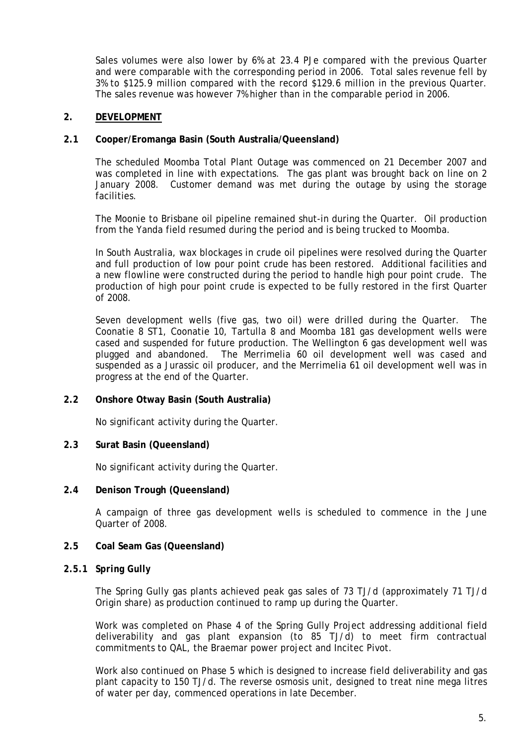Sales volumes were also lower by 6% at 23.4 PJe compared with the previous Quarter and were comparable with the corresponding period in 2006. Total sales revenue fell by 3% to \$125.9 million compared with the record \$129.6 million in the previous Quarter. The sales revenue was however 7% higher than in the comparable period in 2006.

## **2. DEVELOPMENT**

## **2.1 Cooper/Eromanga Basin (South Australia/Queensland)**

The scheduled Moomba Total Plant Outage was commenced on 21 December 2007 and was completed in line with expectations. The gas plant was brought back on line on 2 January 2008. Customer demand was met during the outage by using the storage facilities.

The Moonie to Brisbane oil pipeline remained shut-in during the Quarter. Oil production from the Yanda field resumed during the period and is being trucked to Moomba.

In South Australia, wax blockages in crude oil pipelines were resolved during the Quarter and full production of low pour point crude has been restored. Additional facilities and a new flowline were constructed during the period to handle high pour point crude. The production of high pour point crude is expected to be fully restored in the first Quarter of 2008.

Seven development wells (five gas, two oil) were drilled during the Quarter. The Coonatie 8 ST1, Coonatie 10, Tartulla 8 and Moomba 181 gas development wells were cased and suspended for future production. The Wellington 6 gas development well was plugged and abandoned. The Merrimelia 60 oil development well was cased and suspended as a Jurassic oil producer, and the Merrimelia 61 oil development well was in progress at the end of the Quarter.

## **2.2 Onshore Otway Basin (South Australia)**

No significant activity during the Quarter.

## **2.3 Surat Basin (Queensland)**

No significant activity during the Quarter.

#### **2.4 Denison Trough (Queensland)**

A campaign of three gas development wells is scheduled to commence in the June Quarter of 2008.

## **2.5 Coal Seam Gas (Queensland)**

#### *2.5.1 Spring Gully*

The Spring Gully gas plants achieved peak gas sales of 73 TJ/d (approximately 71 TJ/d Origin share) as production continued to ramp up during the Quarter.

Work was completed on Phase 4 of the Spring Gully Project addressing additional field deliverability and gas plant expansion (to 85 TJ/d) to meet firm contractual commitments to QAL, the Braemar power project and Incitec Pivot.

Work also continued on Phase 5 which is designed to increase field deliverability and gas plant capacity to 150 TJ/d. The reverse osmosis unit, designed to treat nine mega litres of water per day, commenced operations in late December.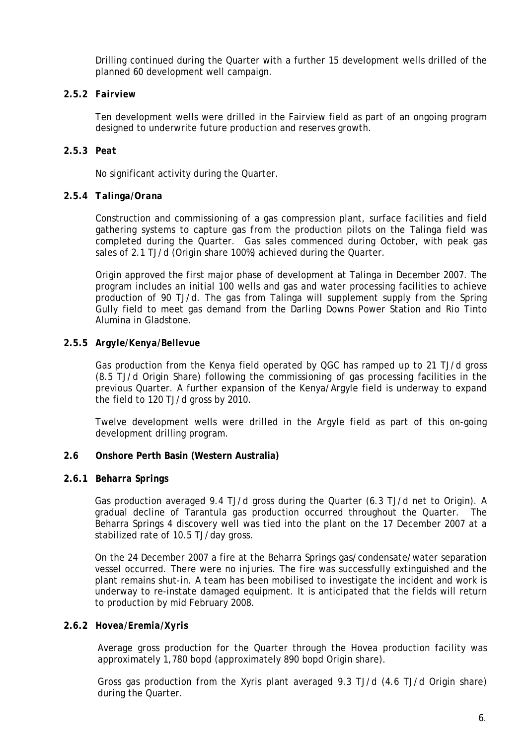Drilling continued during the Quarter with a further 15 development wells drilled of the planned 60 development well campaign.

## **2.5.2** *Fairview*

Ten development wells were drilled in the Fairview field as part of an ongoing program designed to underwrite future production and reserves growth.

## **2.5.3** *Peat*

No significant activity during the Quarter.

## **2.5.4** *Talinga/Orana*

Construction and commissioning of a gas compression plant, surface facilities and field gathering systems to capture gas from the production pilots on the Talinga field was completed during the Quarter. Gas sales commenced during October, with peak gas sales of 2.1 TJ/d (Origin share 100%) achieved during the Quarter.

Origin approved the first major phase of development at Talinga in December 2007. The program includes an initial 100 wells and gas and water processing facilities to achieve production of 90 TJ/d. The gas from Talinga will supplement supply from the Spring Gully field to meet gas demand from the Darling Downs Power Station and Rio Tinto Alumina in Gladstone.

## **2.5.5** *Argyle/Kenya/Bellevue*

Gas production from the Kenya field operated by QGC has ramped up to 21 TJ/d gross (8.5 TJ/d Origin Share) following the commissioning of gas processing facilities in the previous Quarter. A further expansion of the Kenya/Argyle field is underway to expand the field to 120 TJ/d gross by 2010.

Twelve development wells were drilled in the Argyle field as part of this on-going development drilling program.

## **2.6 Onshore Perth Basin (Western Australia)**

## **2.6.1** *Beharra Springs*

Gas production averaged 9.4 TJ/d gross during the Quarter (6.3 TJ/d net to Origin). A gradual decline of Tarantula gas production occurred throughout the Quarter. The Beharra Springs 4 discovery well was tied into the plant on the 17 December 2007 at a stabilized rate of 10.5 TJ/day gross.

On the 24 December 2007 a fire at the Beharra Springs gas/condensate/water separation vessel occurred. There were no injuries. The fire was successfully extinguished and the plant remains shut-in. A team has been mobilised to investigate the incident and work is underway to re-instate damaged equipment. It is anticipated that the fields will return to production by mid February 2008.

## **2.6.2** *Hovea/Eremia/Xyris*

Average gross production for the Quarter through the Hovea production facility was approximately 1,780 bopd (approximately 890 bopd Origin share).

Gross gas production from the Xyris plant averaged 9.3 TJ/d (4.6 TJ/d Origin share) during the Quarter.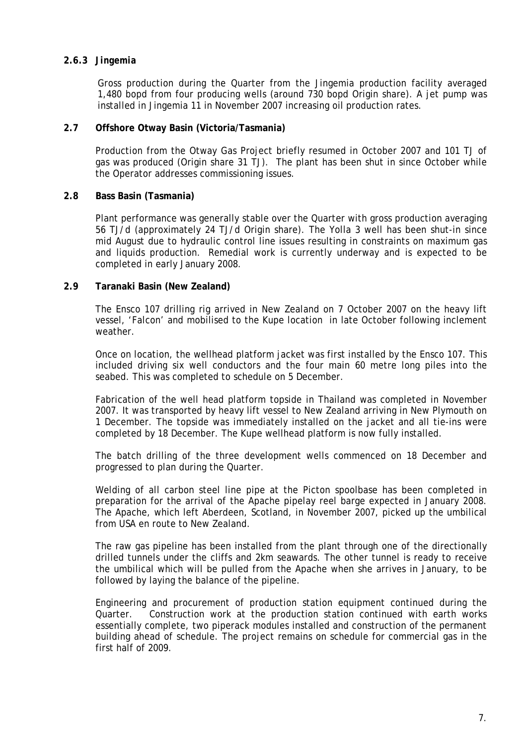## **2.6.3** *Jingemia*

Gross production during the Quarter from the Jingemia production facility averaged 1,480 bopd from four producing wells (around 730 bopd Origin share). A jet pump was installed in Jingemia 11 in November 2007 increasing oil production rates.

#### **2.7 Offshore Otway Basin (Victoria/Tasmania)**

Production from the Otway Gas Project briefly resumed in October 2007 and 101 TJ of gas was produced (Origin share 31 TJ). The plant has been shut in since October while the Operator addresses commissioning issues.

#### **2.8 Bass Basin (Tasmania)**

Plant performance was generally stable over the Quarter with gross production averaging 56 TJ/d (approximately 24 TJ/d Origin share). The Yolla 3 well has been shut-in since mid August due to hydraulic control line issues resulting in constraints on maximum gas and liquids production. Remedial work is currently underway and is expected to be completed in early January 2008.

#### **2.9 Taranaki Basin (New Zealand)**

The Ensco 107 drilling rig arrived in New Zealand on 7 October 2007 on the heavy lift vessel, 'Falcon' and mobilised to the Kupe location in late October following inclement weather.

Once on location, the wellhead platform jacket was first installed by the Ensco 107. This included driving six well conductors and the four main 60 metre long piles into the seabed. This was completed to schedule on 5 December.

Fabrication of the well head platform topside in Thailand was completed in November 2007. It was transported by heavy lift vessel to New Zealand arriving in New Plymouth on 1 December. The topside was immediately installed on the jacket and all tie-ins were completed by 18 December. The Kupe wellhead platform is now fully installed.

The batch drilling of the three development wells commenced on 18 December and progressed to plan during the Quarter.

Welding of all carbon steel line pipe at the Picton spoolbase has been completed in preparation for the arrival of the Apache pipelay reel barge expected in January 2008. The Apache, which left Aberdeen, Scotland, in November 2007, picked up the umbilical from USA en route to New Zealand.

The raw gas pipeline has been installed from the plant through one of the directionally drilled tunnels under the cliffs and 2km seawards. The other tunnel is ready to receive the umbilical which will be pulled from the Apache when she arrives in January, to be followed by laying the balance of the pipeline.

Engineering and procurement of production station equipment continued during the Quarter. Construction work at the production station continued with earth works essentially complete, two piperack modules installed and construction of the permanent building ahead of schedule. The project remains on schedule for commercial gas in the first half of 2009.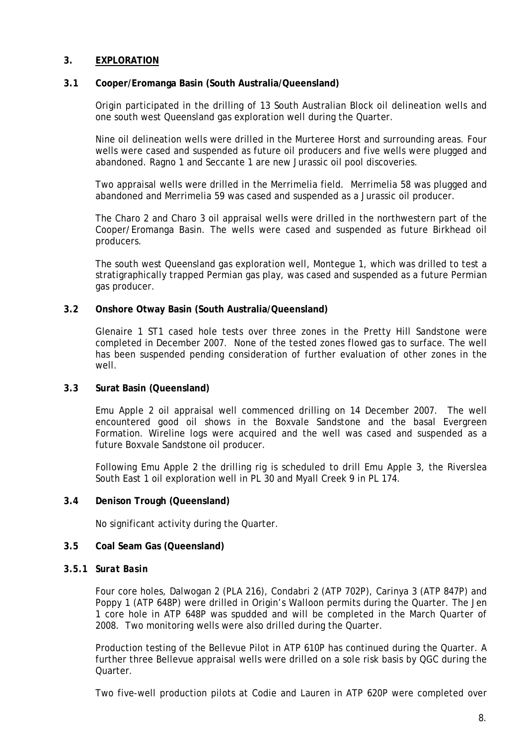## **3. EXPLORATION**

### **3.1 Cooper/Eromanga Basin (South Australia/Queensland)**

Origin participated in the drilling of 13 South Australian Block oil delineation wells and one south west Queensland gas exploration well during the Quarter.

Nine oil delineation wells were drilled in the Murteree Horst and surrounding areas. Four wells were cased and suspended as future oil producers and five wells were plugged and abandoned. Ragno 1 and Seccante 1 are new Jurassic oil pool discoveries.

Two appraisal wells were drilled in the Merrimelia field. Merrimelia 58 was plugged and abandoned and Merrimelia 59 was cased and suspended as a Jurassic oil producer.

The Charo 2 and Charo 3 oil appraisal wells were drilled in the northwestern part of the Cooper/Eromanga Basin. The wells were cased and suspended as future Birkhead oil producers.

The south west Queensland gas exploration well, Montegue 1, which was drilled to test a stratigraphically trapped Permian gas play, was cased and suspended as a future Permian gas producer.

#### **3.2 Onshore Otway Basin (South Australia/Queensland)**

Glenaire 1 ST1 cased hole tests over three zones in the Pretty Hill Sandstone were completed in December 2007. None of the tested zones flowed gas to surface. The well has been suspended pending consideration of further evaluation of other zones in the well.

#### **3.3 Surat Basin (Queensland)**

Emu Apple 2 oil appraisal well commenced drilling on 14 December 2007. The well encountered good oil shows in the Boxvale Sandstone and the basal Evergreen Formation. Wireline logs were acquired and the well was cased and suspended as a future Boxvale Sandstone oil producer.

Following Emu Apple 2 the drilling rig is scheduled to drill Emu Apple 3, the Riverslea South East 1 oil exploration well in PL 30 and Myall Creek 9 in PL 174.

#### **3.4 Denison Trough (Queensland)**

No significant activity during the Quarter.

## **3.5 Coal Seam Gas (Queensland)**

#### *3.5.1 Surat Basin*

Four core holes, Dalwogan 2 (PLA 216), Condabri 2 (ATP 702P), Carinya 3 (ATP 847P) and Poppy 1 (ATP 648P) were drilled in Origin's Walloon permits during the Quarter. The Jen 1 core hole in ATP 648P was spudded and will be completed in the March Quarter of 2008. Two monitoring wells were also drilled during the Quarter.

Production testing of the Bellevue Pilot in ATP 610P has continued during the Quarter. A further three Bellevue appraisal wells were drilled on a sole risk basis by QGC during the Quarter.

Two five-well production pilots at Codie and Lauren in ATP 620P were completed over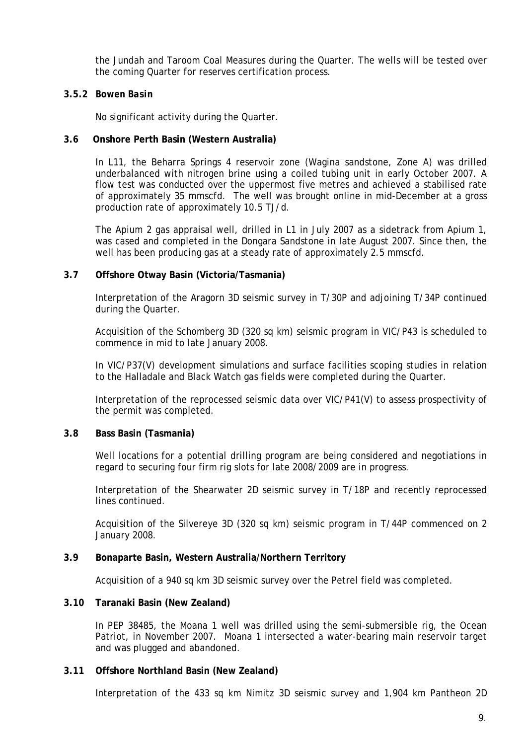the Jundah and Taroom Coal Measures during the Quarter. The wells will be tested over the coming Quarter for reserves certification process.

## **3.5.2** *Bowen Basin*

No significant activity during the Quarter.

## **3.6 Onshore Perth Basin (Western Australia)**

In L11, the Beharra Springs 4 reservoir zone (Wagina sandstone, Zone A) was drilled underbalanced with nitrogen brine using a coiled tubing unit in early October 2007. A flow test was conducted over the uppermost five metres and achieved a stabilised rate of approximately 35 mmscfd. The well was brought online in mid-December at a gross production rate of approximately 10.5 TJ/d.

The Apium 2 gas appraisal well, drilled in L1 in July 2007 as a sidetrack from Apium 1, was cased and completed in the Dongara Sandstone in late August 2007. Since then, the well has been producing gas at a steady rate of approximately 2.5 mmscfd.

#### **3.7 Offshore Otway Basin (Victoria/Tasmania)**

Interpretation of the Aragorn 3D seismic survey in T/30P and adjoining T/34P continued during the Quarter.

Acquisition of the Schomberg 3D (320 sq km) seismic program in VIC/P43 is scheduled to commence in mid to late January 2008.

In VIC/P37(V) development simulations and surface facilities scoping studies in relation to the Halladale and Black Watch gas fields were completed during the Quarter.

Interpretation of the reprocessed seismic data over VIC/P41(V) to assess prospectivity of the permit was completed.

## **3.8 Bass Basin (Tasmania)**

Well locations for a potential drilling program are being considered and negotiations in regard to securing four firm rig slots for late 2008/2009 are in progress.

Interpretation of the Shearwater 2D seismic survey in T/18P and recently reprocessed lines continued.

Acquisition of the Silvereye 3D (320 sq km) seismic program in T/44P commenced on 2 January 2008.

## **3.9 Bonaparte Basin, Western Australia/Northern Territory**

Acquisition of a 940 sq km 3D seismic survey over the Petrel field was completed.

#### **3.10 Taranaki Basin (New Zealand)**

In PEP 38485, the Moana 1 well was drilled using the semi-submersible rig, the Ocean Patriot, in November 2007. Moana 1 intersected a water-bearing main reservoir target and was plugged and abandoned.

## **3.11 Offshore Northland Basin (New Zealand)**

Interpretation of the 433 sq km Nimitz 3D seismic survey and 1,904 km Pantheon 2D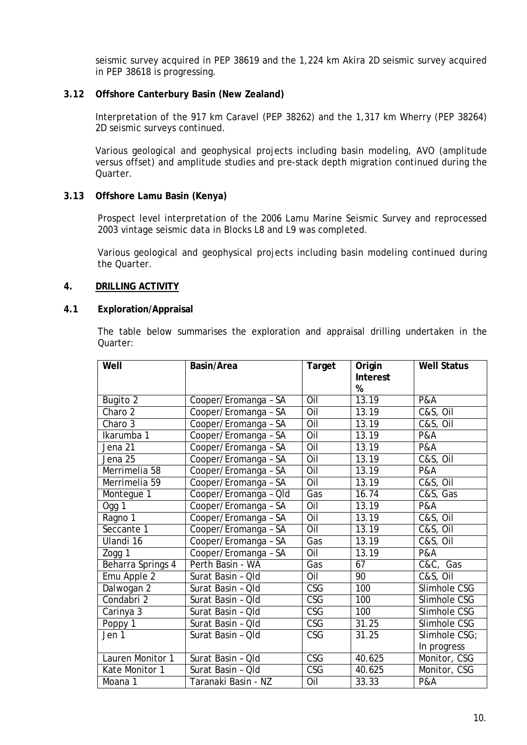seismic survey acquired in PEP 38619 and the 1,224 km Akira 2D seismic survey acquired in PEP 38618 is progressing.

## **3.12 Offshore Canterbury Basin (New Zealand)**

Interpretation of the 917 km Caravel (PEP 38262) and the 1,317 km Wherry (PEP 38264) 2D seismic surveys continued.

Various geological and geophysical projects including basin modeling, AVO (amplitude versus offset) and amplitude studies and pre-stack depth migration continued during the Quarter.

## **3.13 Offshore Lamu Basin (Kenya)**

Prospect level interpretation of the 2006 Lamu Marine Seismic Survey and reprocessed 2003 vintage seismic data in Blocks L8 and L9 was completed.

Various geological and geophysical projects including basin modeling continued during the Quarter.

## **4. DRILLING ACTIVITY**

## **4.1 Exploration/Appraisal**

The table below summarises the exploration and appraisal drilling undertaken in the Quarter:

| Well              | Basin/Area            | Target                  | Origin<br><b>Interest</b><br>% | <b>Well Status</b>  |
|-------------------|-----------------------|-------------------------|--------------------------------|---------------------|
| Bugito 2          | Cooper/Eromanga - SA  | Oil                     | 13.19                          | <b>P&amp;A</b>      |
| Charo 2           | Cooper/Eromanga - SA  | $\overline{O}$ il       | $\overline{1}3.19$             | C&S, Oil            |
| Charo 3           | Cooper/Eromanga - SA  | Oil                     | 13.19                          | C&S, Oil            |
| Ikarumba 1        | Cooper/Eromanga - SA  | Oil                     | 13.19                          | <b>P&amp;A</b>      |
| Jena 21           | Cooper/Eromanga - SA  | Oil                     | 13.19                          | <b>P&amp;A</b>      |
| Jena 25           | Cooper/Eromanga - SA  | Oil                     | 13.19                          | C&S, Oil            |
| Merrimelia 58     | Cooper/Eromanga - SA  | Oil                     | 13.19                          | <b>P&amp;A</b>      |
| Merrimelia 59     | Cooper/Eromanga - SA  | Oil                     | 13.19                          | C&S, Oil            |
| Montegue 1        | Cooper/Eromanga - Old | Gas                     | 16.74                          | C&S, Gas            |
| Ogg 1             | Cooper/Eromanga - SA  | Oil                     | 13.19                          | <b>P&amp;A</b>      |
| Ragno 1           | Cooper/Eromanga - SA  | $\overline{O}$ il       | 13.19                          | C&S, Oil            |
| Seccante 1        | Cooper/Eromanga - SA  | Oil                     | 13.19                          | C&S, Oil            |
| Ulandi 16         | Cooper/Eromanga - SA  | Gas                     | 13.19                          | C&S, Oil            |
| Zogg 1            | Cooper/Eromanga - SA  | $\overline{O}$ il       | 13.19                          | <b>P&amp;A</b>      |
| Beharra Springs 4 | Perth Basin - WA      | Gas                     | 67                             | C&C, Gas            |
| Emu Apple 2       | Surat Basin - Qld     | Oil                     | 90                             | <b>C&amp;S, Oil</b> |
| Dalwogan 2        | Surat Basin - Qld     | $\overline{\text{CSG}}$ | 100                            | Slimhole CSG        |
| Condabri 2        | Surat Basin - Qld     | CSG                     | 100                            | Slimhole CSG        |
| Carinya 3         | Surat Basin - Qld     | CSG                     | 100                            | Slimhole CSG        |
| Poppy 1           | Surat Basin - Qld     | CSG                     | 31.25                          | Slimhole CSG        |
| Jen 1             | Surat Basin - Qld     | CSG                     | 31.25                          | Slimhole CSG;       |
|                   |                       |                         |                                | In progress         |
| Lauren Monitor 1  | Surat Basin - Qld     | <b>CSG</b>              | 40.625                         | Monitor, CSG        |
| Kate Monitor 1    | Surat Basin - Old     | CSG                     | 40.625                         | Monitor, CSG        |
| Moana 1           | Taranaki Basin - NZ   | Oil                     | 33.33                          | <b>P&amp;A</b>      |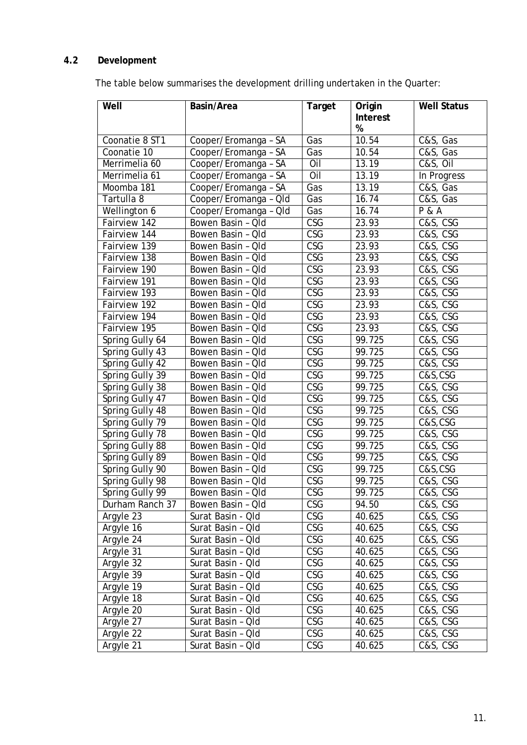# **4.2 Development**

The table below summarises the development drilling undertaken in the Quarter:

| Well            | Basin/Area            | Target                  | Origin<br>Interest<br>% | <b>Well Status</b>    |
|-----------------|-----------------------|-------------------------|-------------------------|-----------------------|
| Coonatie 8 ST1  | Cooper/Eromanga - SA  | Gas                     | 10.54                   | C&S, Gas              |
| Coonatie 10     | Cooper/Eromanga - SA  | Gas                     | 10.54                   | C&S, Gas              |
| Merrimelia 60   | Cooper/Eromanga - SA  | Oil                     | 13.19                   | C&S, OII              |
| Merrimelia 61   | Cooper/Eromanga - SA  | Oil                     | 13.19                   | In Progress           |
| Moomba 181      | Cooper/Eromanga - SA  | Gas                     | 13.19                   | C&S, Gas              |
| Tartulla 8      | Cooper/Eromanga - Qld | Gas                     | 16.74                   | C&S, Gas              |
| Wellington 6    | Cooper/Eromanga - Qld | Gas                     | 16.74                   | <b>P &amp; A</b>      |
| Fairview 142    | Bowen Basin - Qld     | $\overline{\text{CSG}}$ | 23.93                   | C&S, CSG              |
| Fairview 144    | Bowen Basin - Qld     | CSG                     | 23.93                   | C&S, CSG              |
| Fairview 139    | Bowen Basin - Qld     | CSG                     | 23.93                   | C&S, CSG              |
| Fairview 138    | Bowen Basin - Qld     | CSG                     | 23.93                   | C&S, CSG              |
| Fairview 190    | Bowen Basin - Qld     | <b>CSG</b>              | 23.93                   | C&S, CSG              |
| Fairview 191    | Bowen Basin - Qld     | $\overline{\text{CSG}}$ | 23.93                   | C&S, CSG              |
| Fairview 193    | Bowen Basin - Old     | <b>CSG</b>              | 23.93                   | C&S, CSG              |
| Fairview 192    | Bowen Basin - Old     | $\overline{\text{CSG}}$ | 23.93                   | $C&S, \overline{CSG}$ |
| Fairview 194    | Bowen Basin - Qld     | <b>CSG</b>              | 23.93                   | C&S, CSG              |
| Fairview 195    | Bowen Basin - Qld     | <b>CSG</b>              | $\overline{2}3.93$      | C&S, CSG              |
| Spring Gully 64 | Bowen Basin - Qld     | $\overline{\text{CSG}}$ | 99.725                  | C&S, CSG              |
| Spring Gully 43 | Bowen Basin - Qld     | CSG                     | 99.725                  | C&S, CSG              |
| Spring Gully 42 | Bowen Basin - Qld     | CSG                     | 99.725                  | C&S, CSG              |
| Spring Gully 39 | Bowen Basin - Old     | <b>CSG</b>              | 99.725                  | C&S,CSG               |
| Spring Gully 38 | Bowen Basin - Qld     | <b>CSG</b>              | 99.725                  | C&S, CSG              |
| Spring Gully 47 | Bowen Basin - Qld     | CSG                     | 99.725                  | C&S, CSG              |
| Spring Gully 48 | Bowen Basin - Qld     | CSG                     | 99.725                  | C&S, CSG              |
| Spring Gully 79 | Bowen Basin - Qld     | $\overline{\text{CSG}}$ | 99.725                  | C&S,CSG               |
| Spring Gully 78 | Bowen Basin - Qld     | <b>CSG</b>              | 99.725                  | C&S, CSG              |
| Spring Gully 88 | Bowen Basin - Qld     | $\overline{\text{CSG}}$ | 99.725                  | C&S, CSG              |
| Spring Gully 89 | Bowen Basin - Qld     | $\overline{\text{CSG}}$ | 99.725                  | C&S, CSG              |
| Spring Gully 90 | Bowen Basin - Old     | $\overline{\text{CSG}}$ | 99.725                  | C&S,CSG               |
| Spring Gully 98 | Bowen Basin - Qld     | CSG                     | 99.725                  | C&S, CSG              |
| Spring Gully 99 | Bowen Basin - Qld     | CSG                     | 99.725                  | C&S, CSG              |
| Durham Ranch 37 | Bowen Basin - Qld     | <b>CSG</b>              | 94.50                   | C&S, CSG              |
| Argyle 23       | Surat Basin - Qld     | <b>CSG</b>              | 40.625                  | C&S, CSG              |
| Argyle 16       | Surat Basin - Qld     | CSG                     | 40.625                  | C&S, CSG              |
| Argyle 24       | Surat Basin - Qld     | CSG                     | 40.625                  | C&S, CSG              |
| Argyle 31       | Surat Basin - Qld     | CSG                     | 40.625                  | C&S, CSG              |
| Argyle 32       | Surat Basin - Qld     | CSG                     | 40.625                  | C&S, CSG              |
| Argyle $39$     | Surat Basin - Qld     | CSG                     | 40.625                  | C&S, CSG              |
| Argyle 19       | Surat Basin - Qld     | CSG                     | 40.625                  | C&S, CSG              |
| Argyle 18       | Surat Basin - Qld     | CSG                     | 40.625                  | C&S, CSG              |
| Argyle 20       | Surat Basin - Qld     | CSG                     | 40.625                  | C&S, CSG              |
| Argyle 27       | Surat Basin - Qld     | <b>CSG</b>              | 40.625                  | C&S, CSG              |
| Argyle 22       | Surat Basin - Qld     | CSG                     | 40.625                  | C&S, CSG              |
| Argyle 21       | Surat Basin - Qld     | CSG                     | 40.625                  | C&S, CSG              |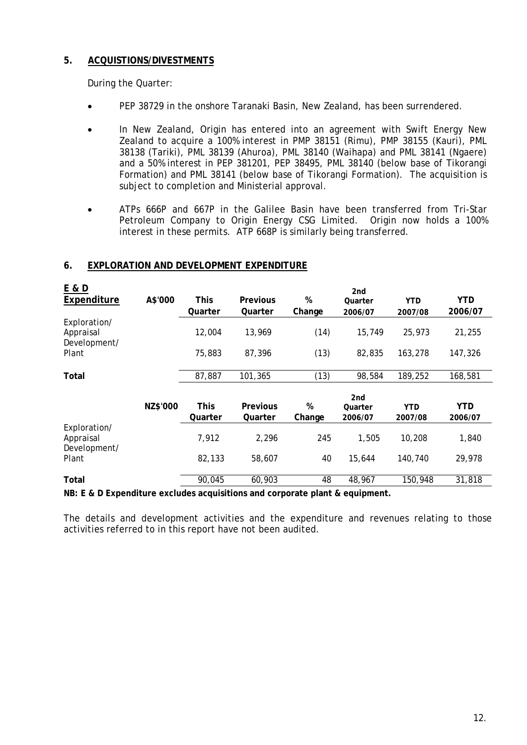## **5. ACQUISTIONS/DIVESTMENTS**

During the Quarter:

- PEP 38729 in the onshore Taranaki Basin, New Zealand, has been surrendered.
- In New Zealand, Origin has entered into an agreement with Swift Energy New Zealand to acquire a 100% interest in PMP 38151 (Rimu), PMP 38155 (Kauri), PML 38138 (Tariki), PML 38139 (Ahuroa), PML 38140 (Waihapa) and PML 38141 (Ngaere) and a 50% interest in PEP 381201, PEP 38495, PML 38140 (below base of Tikorangi Formation) and PML 38141 (below base of Tikorangi Formation). The acquisition is subject to completion and Ministerial approval.
- ATPs 666P and 667P in the Galilee Basin have been transferred from Tri-Star Petroleum Company to Origin Energy CSG Limited. Origin now holds a 100% interest in these permits. ATP 668P is similarly being transferred.

| E & D                     |          |         |                 |        | 2 <sub>nd</sub> |            |            |
|---------------------------|----------|---------|-----------------|--------|-----------------|------------|------------|
| Expenditure               | A\$'000  | This    | <b>Previous</b> | %      | Quarter         | <b>YTD</b> | <b>YTD</b> |
|                           |          | Quarter | Quarter         | Change | 2006/07         | 2007/08    | 2006/07    |
| Exploration/              |          |         |                 |        |                 |            |            |
| Appraisal<br>Development/ |          | 12,004  | 13,969          | (14)   | 15,749          | 25,973     | 21,255     |
| Plant                     |          | 75,883  | 87,396          | (13)   | 82,835          | 163,278    | 147,326    |
| Total                     |          | 87,887  | 101,365         | (13)   | 98,584          | 189,252    | 168,581    |
|                           |          |         |                 |        | 2nd             |            |            |
|                           | NZ\$'000 | This    | <b>Previous</b> | %      | Quarter         | <b>YTD</b> | YTD        |
|                           |          | Quarter | Quarter         | Change | 2006/07         | 2007/08    | 2006/07    |
| Exploration/              |          |         |                 |        |                 |            |            |
| Appraisal<br>Development/ |          | 7,912   | 2,296           | 245    | 1,505           | 10,208     | 1,840      |
| Plant                     |          | 82,133  | 58,607          | 40     | 15,644          | 140,740    | 29,978     |
| Total                     |          | 90,045  | 60,903          | 48     | 48,967          | 150,948    | 31,818     |
| NDE P. D. Eynonditive     |          |         |                 |        |                 |            |            |

## **6. EXPLORATION AND DEVELOPMENT EXPENDITURE**

**NB: E & D Expenditure excludes acquisitions and corporate plant & equipment.** 

The details and development activities and the expenditure and revenues relating to those activities referred to in this report have not been audited.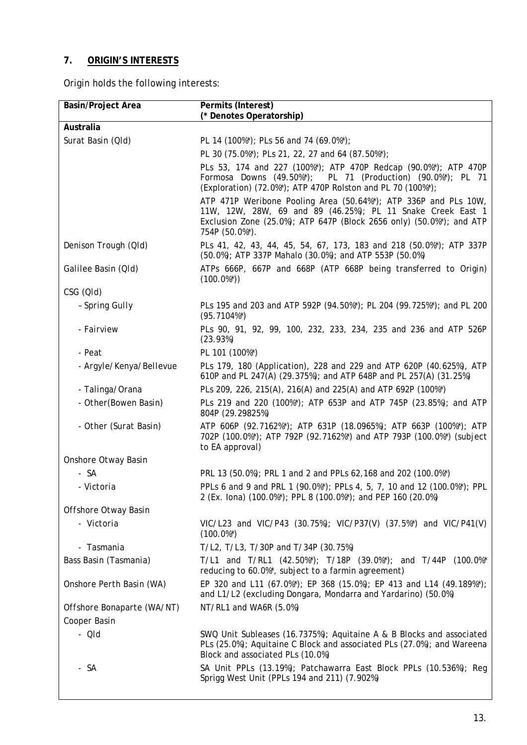# **7. ORIGIN'S INTERESTS**

Origin holds the following interests:

| <b>Basin/Project Area</b>  | Permits (Interest)<br>(* Denotes Operatorship)                                                                                                                                                                           |
|----------------------------|--------------------------------------------------------------------------------------------------------------------------------------------------------------------------------------------------------------------------|
| Australia                  |                                                                                                                                                                                                                          |
| Surat Basin (QId)          | PL 14 (100%*); PLs 56 and 74 (69.0%*);                                                                                                                                                                                   |
|                            | PL 30 (75.0%*); PLs 21, 22, 27 and 64 (87.50%*);                                                                                                                                                                         |
|                            | PLs 53, 174 and 227 (100%*); ATP 470P Redcap (90.0%*); ATP 470P<br>Formosa Downs (49.50%*); PL 71 (Production) (90.0%*); PL 71<br>(Exploration) (72.0%*); ATP 470P Rolston and PL 70 (100%*);                            |
|                            | ATP 471P Weribone Pooling Area (50.64%*); ATP 336P and PLs 10W,<br>11W, 12W, 28W, 69 and 89 (46.25%); PL 11 Snake Creek East 1<br>Exclusion Zone (25.0%); ATP 647P (Block 2656 only) (50.0%*); and ATP<br>754P (50.0%*). |
| Denison Trough (QId)       | PLs 41, 42, 43, 44, 45, 54, 67, 173, 183 and 218 (50.0%*); ATP 337P<br>(50.0%); ATP 337P Mahalo (30.0%); and ATP 553P (50.0%)                                                                                            |
| Galilee Basin (Qld)        | ATPs 666P, 667P and 668P (ATP 668P being transferred to Origin)<br>$(100.0\%)$                                                                                                                                           |
| CSG (QId)                  |                                                                                                                                                                                                                          |
| - Spring Gully             | PLs 195 and 203 and ATP 592P (94.50%*); PL 204 (99.725%*); and PL 200<br>$(95.7104\%)$                                                                                                                                   |
| - Fairview                 | PLs 90, 91, 92, 99, 100, 232, 233, 234, 235 and 236 and ATP 526P<br>(23.93%)                                                                                                                                             |
| - Peat                     | PL 101 (100%*)                                                                                                                                                                                                           |
| - Argyle/Kenya/Bellevue    | PLs 179, 180 (Application), 228 and 229 and ATP 620P (40.625%), ATP<br>610P and PL 247(A) (29.375%); and ATP 648P and PL 257(A) (31.25%)                                                                                 |
| - Talinga/Orana            | PLs 209, 226, 215(A), 216(A) and 225(A) and ATP 692P (100%*)                                                                                                                                                             |
| - Other(Bowen Basin)       | PLs 219 and 220 (100%*); ATP 653P and ATP 745P (23.85%); and ATP<br>804P (29.29825%)                                                                                                                                     |
| - Other (Surat Basin)      | ATP 606P (92.7162%*); ATP 631P (18.0965%); ATP 663P (100%*); ATP<br>702P (100.0%*); ATP 792P (92.7162%*) and ATP 793P (100.0%*) (subject<br>to EA approval)                                                              |
| Onshore Otway Basin        |                                                                                                                                                                                                                          |
| - SA                       | PRL 13 (50.0%); PRL 1 and 2 and PPLs 62, 168 and 202 (100.0%*)                                                                                                                                                           |
| - Victoria                 | PPLs 6 and 9 and PRL 1 (90.0%*); PPLs 4, 5, 7, 10 and 12 (100.0%*); PPL<br>2 (Ex. lona) (100.0%*); PPL 8 (100.0%*); and PEP 160 (20.0%)                                                                                  |
| Offshore Otway Basin       |                                                                                                                                                                                                                          |
| - Victoria                 | VIC/L23 and VIC/P43 (30.75%); VIC/P37(V) (37.5%*) and VIC/P41(V)<br>$(100.0\%)$                                                                                                                                          |
| - Tasmania                 | T/L2, T/L3, T/30P and T/34P (30.75%)                                                                                                                                                                                     |
| Bass Basin (Tasmania)      | T/L1 and T/RL1 $(42.50\%)$ ; T/18P $(39.0\%)$ ; and T/44P $(100.0\%)$<br>reducing to 60.0%*, subject to a farmin agreement)                                                                                              |
| Onshore Perth Basin (WA)   | EP 320 and L11 (67.0%*); EP 368 (15.0%); EP 413 and L14 (49.189%*);<br>and L1/L2 (excluding Dongara, Mondarra and Yardarino) (50.0%)                                                                                     |
| Offshore Bonaparte (WA/NT) | NT/RL1 and WA6R (5.0%)                                                                                                                                                                                                   |
| Cooper Basin               |                                                                                                                                                                                                                          |
| - Qld                      | SWQ Unit Subleases (16.7375%); Aquitaine A & B Blocks and associated<br>PLs (25.0%); Aquitaine C Block and associated PLs (27.0%); and Wareena<br>Block and associated PLs (10.0%)                                       |
| - SA                       | SA Unit PPLs (13.19%); Patchawarra East Block PPLs (10.536%); Reg<br>Sprigg West Unit (PPLs 194 and 211) (7.902%)                                                                                                        |